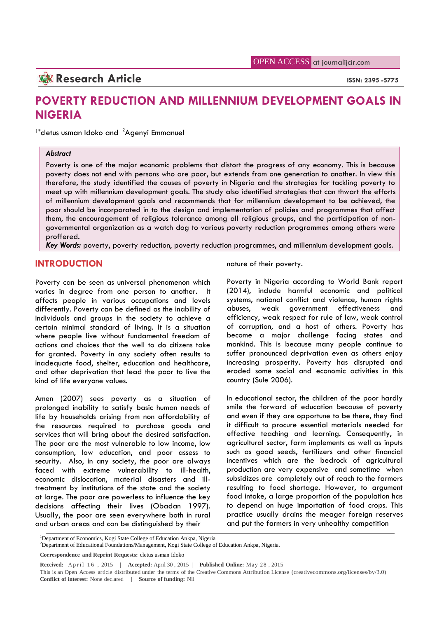## **Research Article ISSN:** 2395 -5775

# **POVERTY REDUCTION AND MILLENNIUM DEVELOPMENT GOALS IN NIGERIA**

 $1*$ cletus usman Idoko and  $2A$ genyi Emmanuel

#### *Abstract*

Poverty is one of the major economic problems that distort the progress of any economy. This is because poverty does not end with persons who are poor, but extends from one generation to another. In view this therefore, the study identified the causes of poverty in Nigeria and the strategies for tackling poverty to meet up with millennium development goals. The study also identified strategies that can thwart the efforts of millennium development goals and recommends that for millennium development to be achieved, the poor should be incorporated in to the design and implementation of policies and programmes that affect them, the encouragement of religious tolerance among all religious groups, and the participation of non governmental organization as a watch dog to various poverty reduction programmes among others were proffered.

*Key Words:* poverty, poverty reduction, poverty reduction programmes, and millennium development goals.

## **INTRODUCTION**

Poverty can be seen as universal phenomenon which varies in degree from one person to another. It affects people in various occupations and levels differently. Poverty can be defined as the inability of abuses, individuals and groups in the society to achieve a certain minimal standard of living. It is a situation where people live without fundamental freedom of actions and choices that the well to do citizens take for granted. Poverty in any society often results to inadequate food, shelter, education and healthcare, and other deprivation that lead the poor to live the kind of life everyone values.

Amen (2007) sees poverty as a situation of prolonged inability to satisfy basic human needs of life by households arising from non affordability of the resources required to purchase goods and services that will bring about the desired satisfaction. The poor are the most vulnerable to low income, low consumption, low education, and poor assess to security. Also, in any society, the poor are always faced with extreme vulnerability to ill-health, economic dislocation, material disasters and illtreatment by institutions of the state and the society at large. The poor are powerless to influence the key decisions affecting their lives (Obadan 1997). Usually, the poor are seen everywhere both in rural and urban areas and can be distinguished by their

nature of their poverty.

Poverty in Nigeria according to World Bank report (2014), include harmful economic and political systems, national conflict and violence, human rights weak government effectiveness and efficiency, weak respect for rule of law, weak control of corruption, and a host of others. Poverty has become a major challenge facing states and mankind. This is because many people continue to suffer pronounced deprivation even as others enjoy increasing prosperity. Poverty has disrupted and eroded some social and economic activities in this country (Sule 2006).

In educational sector, the children of the poor hardly smile the forward of education because of poverty and even if they are opportune to be there, they find it difficult to procure essential materials needed for effective teaching and learning. Consequently, in agricultural sector, farm implements as well as inputs such as good seeds, fertilizers and other financial incentives which are the bedrock of agricultural production are very expensive and sometime when subsidizes are completely out of reach to the farmers resulting to food shortage. However, to argument food intake, a large proportion of the population has to depend on huge importation of food crops. This practice usually drains the meager foreign reserves and put the farmers in very unhealthy competition

This is an Open Access article distributed under the terms of the Creative Commons Attribution License (creativecommons.org/licenses/by/3.0) **Conflict of interest:** None declared | **Source of funding:** Nil

<sup>&</sup>lt;sup>1</sup>Department of Economics, Kogi State College of Education Ankpa, Nigeria

<sup>&</sup>lt;sup>2</sup>Department of Educational Foundations/Management, Kogi State College of Education Ankpa, Nigeria.

**Correspondence and Reprint Requests:** cletus usman Idoko

**Received:** April 16, 2015 | **Accepted:** April 30, 2015 | **Published Online:** May 28, 2015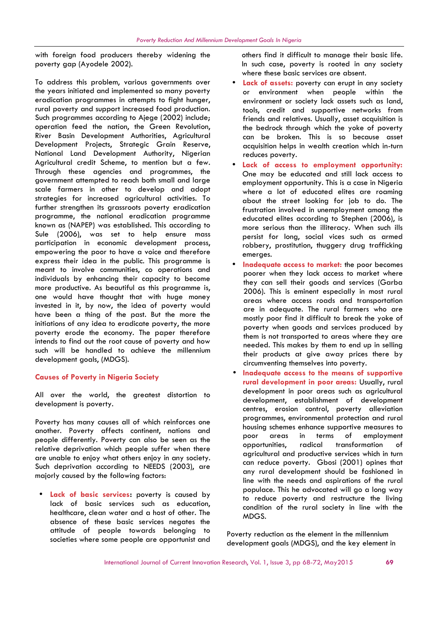with foreign food producers thereby widening the poverty gap (Ayodele 2002).

To address this problem, various governments over the years initiated and implemented so many poverty eradication programmes in attempts to fight hunger, rural poverty and support increased food production. Such programmes according to Ajege (2002) include; operation feed the nation, the Green Revolution, River Basin Development Authorities, Agricultural Development Projects, Strategic Grain Reserve, National Land Development Authority, Nigerian Agricultural credit Scheme, to mention but a few. Through these agencies and programmes, the government attempted to reach both small and large scale farmers in other to develop and adopt strategies for increased agricultural activities. To further strengthen its grassroots poverty eradication programme, the national eradication programme known as (NAPEP) was established. This according to Sule (2006), was set to help ensure mass participation in economic development process, empowering the poor to have a voice and therefore express their idea in the public. This programme is meant to involve communities, co operations and individuals by enhancing their capacity to become more productive. As beautiful as this programme is, one would have thought that with huge money invested in it, by now, the idea of poverty would have been a thing of the past. But the more the initiations of any idea to eradicate poverty, the more poverty erode the economy. The paper therefore intends to find out the root cause of poverty and how such will be handled to achieve the millennium development goals, (MDGS).

#### **Causes of Poverty in Nigeria Society**

All over the world, the greatest distortion to development is poverty.

Poverty has many causes all of which reinforces one another. Poverty affects continent, nations and people differently. Poverty can also be seen as the relative deprivation which people suffer when there are unable to enjoy what others enjoy in any society. Such deprivation according to NEEDS (2003), are majorly caused by the following factors:

 **Lack of basic services:** poverty is caused by lack of basic services such as education, healthcare, clean water and a host of other. The absence of these basic services negates the attitude of people towards belonging to societies where some people are opportunist and others find it difficult to manage their basic life. In such case, poverty is rooted in any society where these basic services are absent.

- **Lack of assets:** poverty can erupt in any society or environment when people within the environment or society lack assets such as land, tools, credit and supportive networks from friends and relatives. Usually, asset acquisition is the bedrock through which the yoke of poverty can be broken. This is so because asset acquisition helps in wealth creation which in-turn reduces poverty.
- **Lack of access to employment opportunity:** One may be educated and still lack access to employment opportunity. This is a case in Nigeria where a lot of educated elites are roaming about the street looking for job to do. The frustration involved in unemployment among the educated elites according to Stephen (2006), is more serious than the illiteracy. When such ills persist for long, social vices such as armed robbery, prostitution, thuggery drug trafficking emerges.
- **Inadequate access to market:** the poor becomes poorer when they lack access to market where they can sell their goods and services (Garba 2006). This is eminent especially in most rural areas where access roads and transportation are in adequate. The rural farmers who are mostly poor find it difficult to break the yoke of poverty when goods and services produced by them is not transported to areas where they are needed. This makes by them to end up in selling their products at give away prices there by circumventing themselves into poverty.
- **Inadequate access to the means of supportive rural development in poor areas:** Usually, rural development in poor areas such as agricultural development, establishment of development centres, erosion control, poverty alleviation programmes, environmental protection and rural housing schemes enhance supportive measures to in terms of employment opportunities, radical transformation of agricultural and productive services which in turn can reduce poverty. Gbosi (2001) opines that any rural development should be fashioned in line with the needs and aspirations of the rural populace. This he advocated will go a long way to reduce poverty and restructure the living condition of the rural society in line with the MDGS.

Poverty reduction as the element in the millennium development goals (MDGS), and the key element in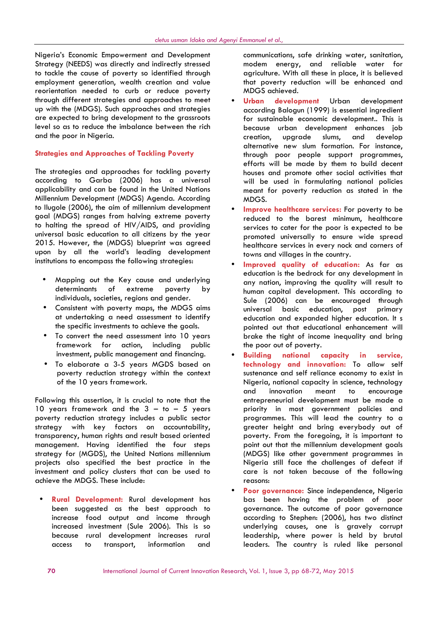Nigeria's Economic Empowerment and Development Strategy (NEEDS) was directly and indirectly stressed to tackle the cause of poverty so identified through employment generation, wealth creation and value reorientation needed to curb or reduce poverty through different strategies and approaches to meet up with the (MDGS). Such approaches and strategies are expected to bring development to the grassroots level so as to reduce the imbalance between the rich and the poor in Nigeria.

#### **Strategies and Approaches of Tackling Poverty**

The strategies and approaches for tackling poverty according to Garba (2006) has a universal applicability and can be found in the United Nations Millennium Development (MDGS) Agenda. According to Ilugole (2006), the aim of millennium development goal (MDGS) ranges from halving extreme poverty to halting the spread of HIV/AIDS, and providing universal basic education to all citizens by the year 2015. However, the (MDGS) blueprint was agreed upon by all the world's leading development institutions to encompass the following strategies:

- Mapping out the Key cause and underlying determinants of extreme poverty by individuals, societies, regions and gender.
- Consistent with poverty maps, the MDGS aims at undertaking a need assessment to identify the specific investments to achieve the goals.
- To convert the need assessment into 10 years framework for action, including public investment, public management and financing.
- To elaborate a 3-5 years MGDS based on poverty reduction strategy within the context of the 10 years framework.

Following this assertion, it is crucial to note that the 10 years framework and the  $3 -$  to  $- 5$  years poverty reduction strategy includes a public sector strategy with key factors on accountability, transparency, human rights and result based oriented management. Having identified the four steps strategy for (MGDS), the United Nations millennium projects also specified the best practice in the investment and policy clusters that can be used to achieve the MDGS. These include:

 **Rural Development:** Rural development has been suggested as the best approach to increase food output and income through increased investment (Sule 2006). This is so because rural development increases rural access to transport, information and communications, safe drinking water, sanitation, modem energy, and reliable water for agriculture. With all these in place, it is believed that poverty reduction will be enhanced and MDGS achieved.

- **Urban development** Urban development according Balogun (1999) is essential ingredient for sustainable economic development.. This is because urban development enhances job creation, upgrade slums, and develop alternative new slum formation. For instance, through poor people support programmes, efforts will be made by them to build decent houses and promote other social activities that will be used in formulating national policies meant for poverty reduction as stated in the MDGS.
- **Improve healthcare services:** For poverty to be reduced to the barest minimum, healthcare services to cater for the poor is expected to be promoted universally to ensure wide spread healthcare services in every nock and corners of towns and villages in the country.
- **Improved quality of education:** As far as education is the bedrock for any development in any nation, improving the quality will result to human capital development. This according to Sule (2006) can be encouraged through universal basic education, post primary education and expanded higher education. It s pointed out that educational enhancement will brake the tight of income inequality and bring the poor out of poverty.
- **Building national capacity in service, technology and innovation:** To allow self sustenance and self reliance economy to exist in Nigeria, national capacity in science, technology and innovation meant to encourage entrepreneurial development must be made a priority in most government policies and programmes. This will lead the country to a greater height and bring everybody out of poverty. From the foregoing, it is important to point out that the millennium development goals (MDGS) like other government programmes in Nigeria still face the challenges of defeat if care is not taken because of the following reasons:
- **Poor governance:** Since independence, Nigeria bas been having the problem of poor governance. The outcome of poor governance according to Stephen: (2006), has two distinct underlying causes, one is gravely corrupt leadership, where power is held by brutal leaders. The country is ruled like personal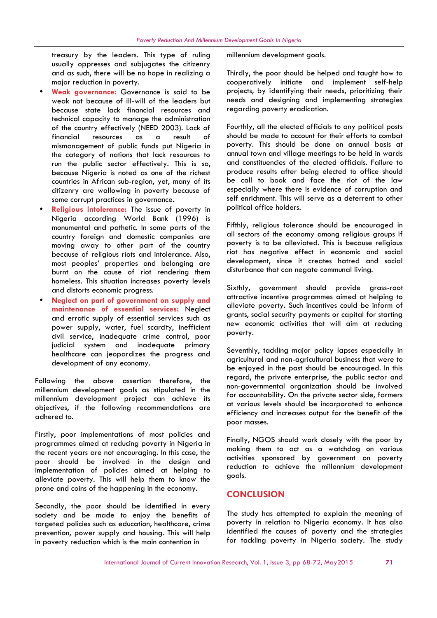treasury by the leaders. This type of ruling usually oppresses and subjugates the citizenry and as such, there will be no hope in realizing a major reduction in poverty.

- **Weak governance:** Governance is said to be weak not because of ill-will of the leaders but because state lack financial resources and technical capacity to manage the administration of the country effectively (NEED 2003). Lack of financial resources as a result of mismanagement of public funds put Nigeria in the category of nations that lack resources to run the public sector effectively. This is so, because Nigeria is noted as one of the richest countries in African sub-region, yet, many of its citizenry are wallowing in poverty because of some corrupt practices in governance.
- **Religious intolerance:** The issue of poverty in Nigeria according World Bank (1996) is monumental and pathetic. In some parts of the country foreign and domestic companies are moving away to other part of the country because of religious riots and intolerance. Also, most peoples' properties and belonging are burnt on the cause of riot rendering them homeless. This situation increases poverty levels and distorts economic progress.
- **Neglect on part of government on supply and maintenance of essential services:** Neglect and erratic supply of essential services such as power supply, water, fuel scarcity, inefficient civil service, inadequate crime control, poor judicial system and inadequate primary healthcare can jeopardizes the progress and development of any economy.

Following the above assertion therefore, the millennium development goals as stipulated in the millennium development project can achieve its objectives, if the following recommendations are adhered to.

Firstly, poor implementations of most policies and programmes aimed at reducing poverty in Nigeria in the recent years are not encouraging. In this case, the poor should be involved in the design and implementation of policies aimed at helping to alleviate poverty. This will help them to know the prone and coins of the happening in the economy.

Secondly, the poor should be identified in every society and be made to enjoy the benefits of targeted policies such as education, healthcare, crime prevention, power supply and housing. This will help in poverty reduction which is the main contention in

millennium development goals.

Thirdly, the poor should be helped and taught how to cooperatively initiate and implement self-help projects, by identifying their needs, prioritizing their needs and designing and implementing strategies regarding poverty eradication.

Fourthly, all the elected officials to any political posts should be made to account for their efforts to combat poverty. This should be done on annual basis at annual town and village meetings to be held in wards and constituencies of the elected officials. Failure to produce results after being elected to office should be call to book and face the riot of the law especially where there is evidence of corruption and self enrichment. This will serve as a deterrent to other political office holders.

Fifthly, religious tolerance should be encouraged in all sectors of the economy among religious groups if poverty is to be alleviated. This is because religious riot has negative effect in economic and social development, since it creates hatred and social disturbance that can negate communal living.

Sixthly, government should provide grass-root attractive incentive programmes aimed at helping to alleviate poverty. Such incentives could be inform of grants, social security payments or capital for starting new economic activities that will aim at reducing poverty.

Seventhly, tackling major policy lapses especially in agricultural and non-agricultural business that were to be enjoyed in the past should be encouraged. In this regard, the private enterprise, the public sector and non-governmental organization should be involved for accountability. On the private sector side, farmers at various levels should be incorporated to enhance efficiency and increases output for the benefit of the poor masses.

Finally, NGOS should work closely with the poor by making them to act as a watchdog on various activities sponsored by government on poverty reduction to achieve the millennium development goals.

## **CONCLUSION**

The study has attempted to explain the meaning of poverty in relation to Nigeria economy. It has also identified the causes of poverty and the strategies for tackling poverty in Nigeria society. The study